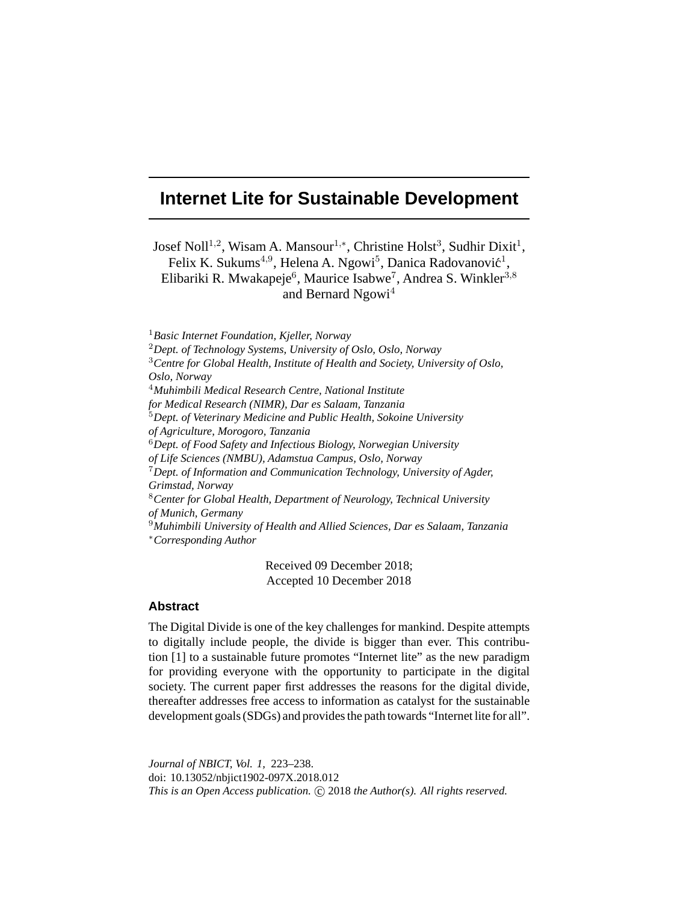# **Internet Lite for Sustainable Development**

Josef Noll<sup>1,2</sup>, Wisam A. Mansour<sup>1,∗</sup>, Christine Holst<sup>3</sup>, Sudhir Dixit<sup>1</sup>, Felix K. Sukum $s^{4,9}$ , Helena A. Ngowi $^5$ , Danica Radovanović<sup>1</sup>, Elibariki R. Mwakapeje<sup>6</sup>, Maurice Isabwe<sup>7</sup>, Andrea S. Winkler<sup>3,8</sup> and Bernard Ngowi<sup>4</sup>

<sup>1</sup>*Basic Internet Foundation, Kjeller, Norway* <sup>2</sup>*Dept. of Technology Systems, University of Oslo, Oslo, Norway* <sup>3</sup>*Centre for Global Health, Institute of Health and Society, University of Oslo, Oslo, Norway* <sup>4</sup>*Muhimbili Medical Research Centre, National Institute for Medical Research (NIMR), Dar es Salaam, Tanzania* <sup>5</sup>*Dept. of Veterinary Medicine and Public Health, Sokoine University of Agriculture, Morogoro, Tanzania* <sup>6</sup>*Dept. of Food Safety and Infectious Biology, Norwegian University of Life Sciences (NMBU), Adamstua Campus, Oslo, Norway* <sup>7</sup>*Dept. of Information and Communication Technology, University of Agder, Grimstad, Norway* <sup>8</sup>*Center for Global Health, Department of Neurology, Technical University of Munich, Germany* <sup>9</sup>*Muhimbili University of Health and Allied Sciences, Dar es Salaam, Tanzania* <sup>∗</sup>*Corresponding Author*

Received 09 December 2018; Accepted 10 December 2018

## **Abstract**

The Digital Divide is one of the key challenges for mankind. Despite attempts to digitally include people, the divide is bigger than ever. This contribution [1] to a sustainable future promotes "Internet lite" as the new paradigm for providing everyone with the opportunity to participate in the digital society. The current paper first addresses the reasons for the digital divide, thereafter addresses free access to information as catalyst for the sustainable development goals (SDGs) and provides the path towards "Internet lite for all".

*Journal of NBICT, Vol. 1,* 223–238. doi: 10.13052/nbjict1902-097X.2018.012 This is an Open Access publication. © 2018 the Author(s). All rights reserved.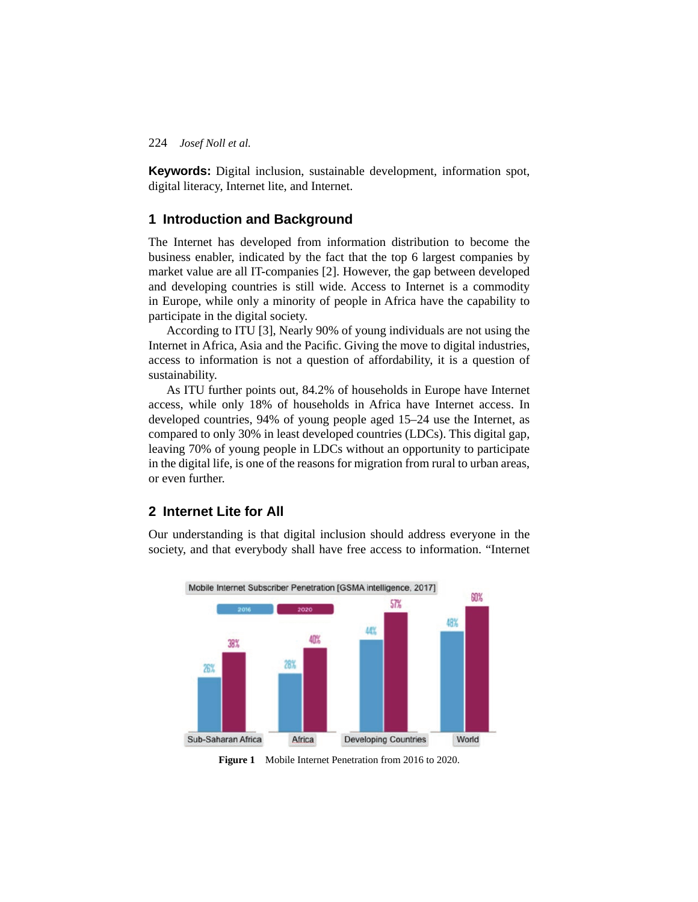**Keywords:** Digital inclusion, sustainable development, information spot, digital literacy, Internet lite, and Internet.

# **1 Introduction and Background**

The Internet has developed from information distribution to become the business enabler, indicated by the fact that the top 6 largest companies by market value are all IT-companies [2]. However, the gap between developed and developing countries is still wide. Access to Internet is a commodity in Europe, while only a minority of people in Africa have the capability to participate in the digital society.

According to ITU [3], Nearly 90% of young individuals are not using the Internet in Africa, Asia and the Pacific. Giving the move to digital industries, access to information is not a question of affordability, it is a question of sustainability.

As ITU further points out, 84.2% of households in Europe have Internet access, while only 18% of households in Africa have Internet access. In developed countries, 94% of young people aged 15–24 use the Internet, as compared to only 30% in least developed countries (LDCs). This digital gap, leaving 70% of young people in LDCs without an opportunity to participate in the digital life, is one of the reasons for migration from rural to urban areas, or even further.

# **2 Internet Lite for All**

Our understanding is that digital inclusion should address everyone in the society, and that everybody shall have free access to information. "Internet



**Figure 1** Mobile Internet Penetration from 2016 to 2020.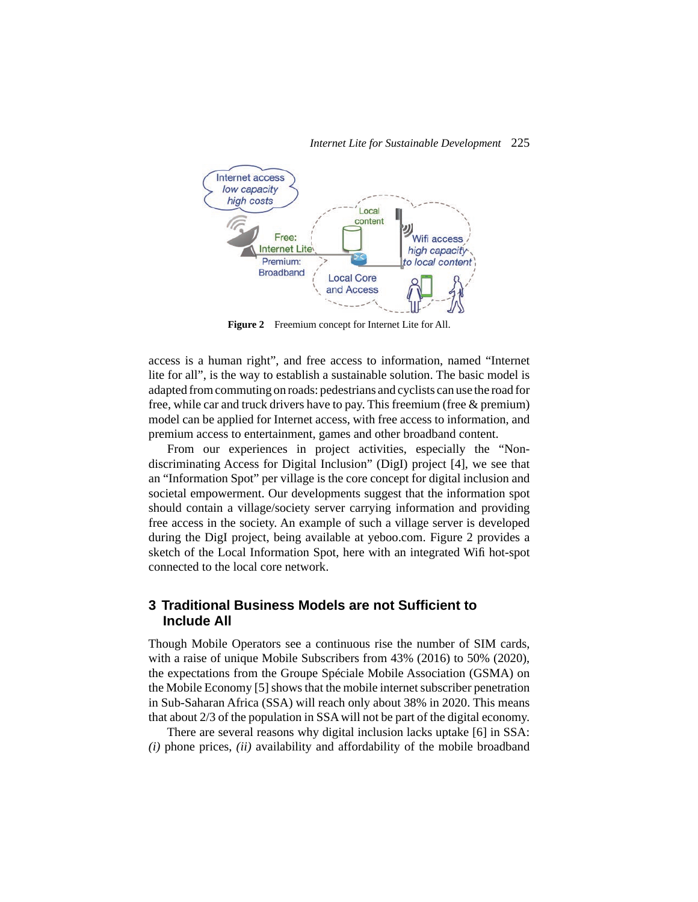

**Figure 2** Freemium concept for Internet Lite for All.

access is a human right", and free access to information, named "Internet lite for all", is the way to establish a sustainable solution. The basic model is adapted from commuting on roads: pedestrians and cyclists can use the road for free, while car and truck drivers have to pay. This freemium (free & premium) model can be applied for Internet access, with free access to information, and premium access to entertainment, games and other broadband content.

From our experiences in project activities, especially the "Nondiscriminating Access for Digital Inclusion" (DigI) project [4], we see that an "Information Spot" per village is the core concept for digital inclusion and societal empowerment. Our developments suggest that the information spot should contain a village/society server carrying information and providing free access in the society. An example of such a village server is developed during the DigI project, being available at yeboo.com. Figure 2 provides a sketch of the Local Information Spot, here with an integrated Wifi hot-spot connected to the local core network.

# **3 Traditional Business Models are not Sufficient to Include All**

Though Mobile Operators see a continuous rise the number of SIM cards, with a raise of unique Mobile Subscribers from 43% (2016) to 50% (2020), the expectations from the Groupe Spéciale Mobile Association (GSMA) on the Mobile Economy [5] shows that the mobile internet subscriber penetration in Sub-Saharan Africa (SSA) will reach only about 38% in 2020. This means that about 2/3 of the population in SSA will not be part of the digital economy.

There are several reasons why digital inclusion lacks uptake [6] in SSA: *(i)* phone prices, *(ii)* availability and affordability of the mobile broadband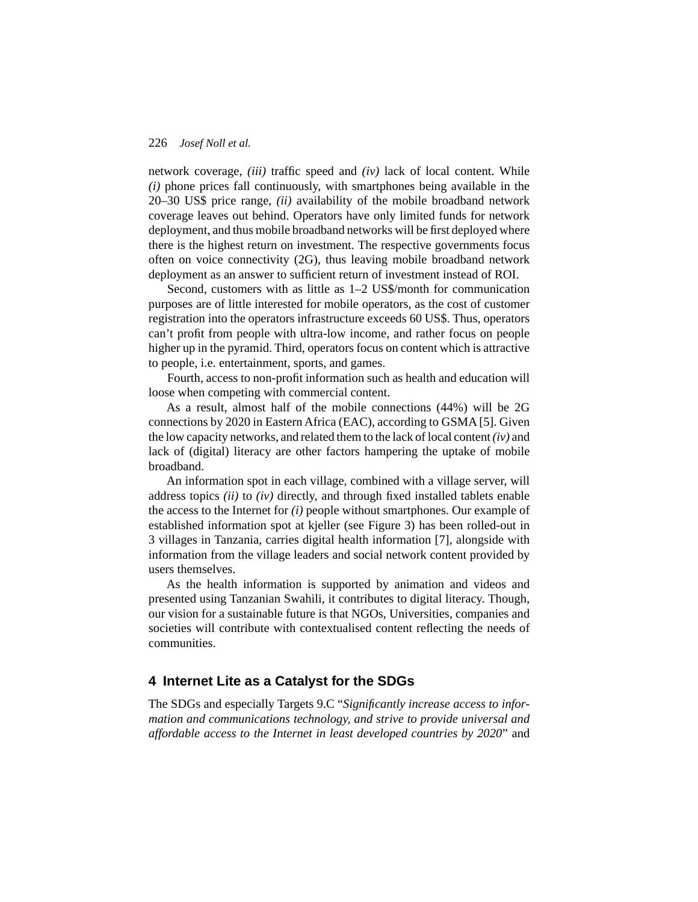network coverage, *(iii)* traffic speed and *(iv)* lack of local content. While *(i)* phone prices fall continuously, with smartphones being available in the 20–30 US\$ price range, *(ii)* availability of the mobile broadband network coverage leaves out behind. Operators have only limited funds for network deployment, and thus mobile broadband networks will be first deployed where there is the highest return on investment. The respective governments focus often on voice connectivity (2G), thus leaving mobile broadband network deployment as an answer to sufficient return of investment instead of ROI.

Second, customers with as little as 1–2 US\$/month for communication purposes are of little interested for mobile operators, as the cost of customer registration into the operators infrastructure exceeds 60 US\$. Thus, operators can't profit from people with ultra-low income, and rather focus on people higher up in the pyramid. Third, operators focus on content which is attractive to people, i.e. entertainment, sports, and games.

Fourth, access to non-profit information such as health and education will loose when competing with commercial content.

As a result, almost half of the mobile connections (44%) will be 2G connections by 2020 in Eastern Africa (EAC), according to GSMA [5]. Given the low capacity networks, and related them to the lack of local content*(iv)* and lack of (digital) literacy are other factors hampering the uptake of mobile broadband.

An information spot in each village, combined with a village server, will address topics *(ii)* to *(iv)* directly, and through fixed installed tablets enable the access to the Internet for *(i)* people without smartphones. Our example of established information spot at kjeller (see Figure 3) has been rolled-out in 3 villages in Tanzania, carries digital health information [7], alongside with information from the village leaders and social network content provided by users themselves.

As the health information is supported by animation and videos and presented using Tanzanian Swahili, it contributes to digital literacy. Though, our vision for a sustainable future is that NGOs, Universities, companies and societies will contribute with contextualised content reflecting the needs of communities.

## **4 Internet Lite as a Catalyst for the SDGs**

The SDGs and especially Targets 9.C "*Significantly increase access to information and communications technology, and strive to provide universal and affordable access to the Internet in least developed countries by 2020*" and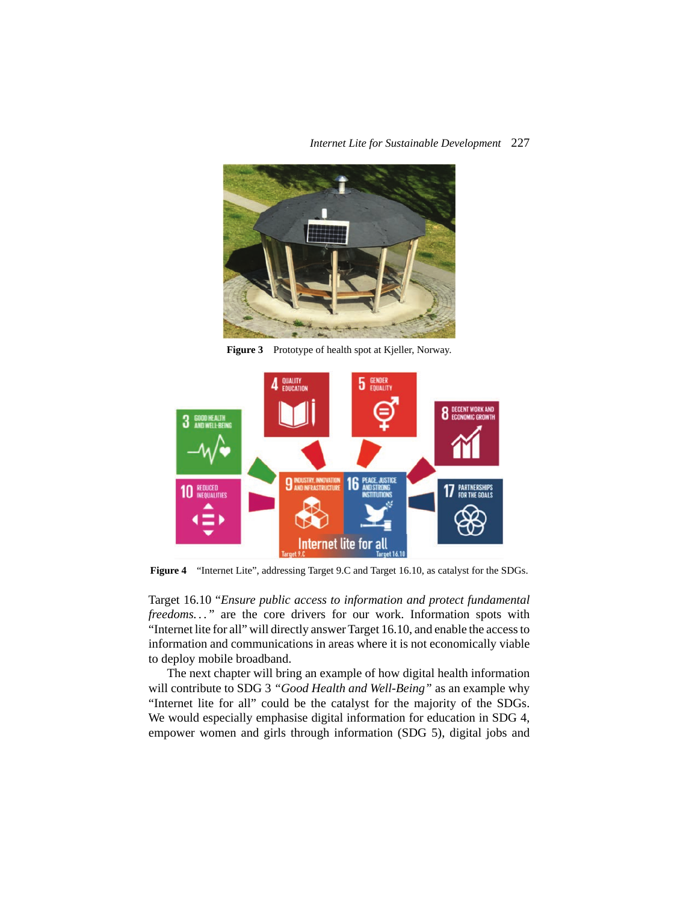

Figure 3 Prototype of health spot at Kjeller, Norway.



**Figure 4** "Internet Lite", addressing Target 9.C and Target 16.10, as catalyst for the SDGs.

Target 16.10 "*Ensure public access to information and protect fundamental freedoms...*" are the core drivers for our work. Information spots with "Internet lite for all" will directly answer Target 16.10, and enable the access to information and communications in areas where it is not economically viable to deploy mobile broadband.

The next chapter will bring an example of how digital health information will contribute to SDG 3 *"Good Health and Well-Being"* as an example why "Internet lite for all" could be the catalyst for the majority of the SDGs. We would especially emphasise digital information for education in SDG 4, empower women and girls through information (SDG 5), digital jobs and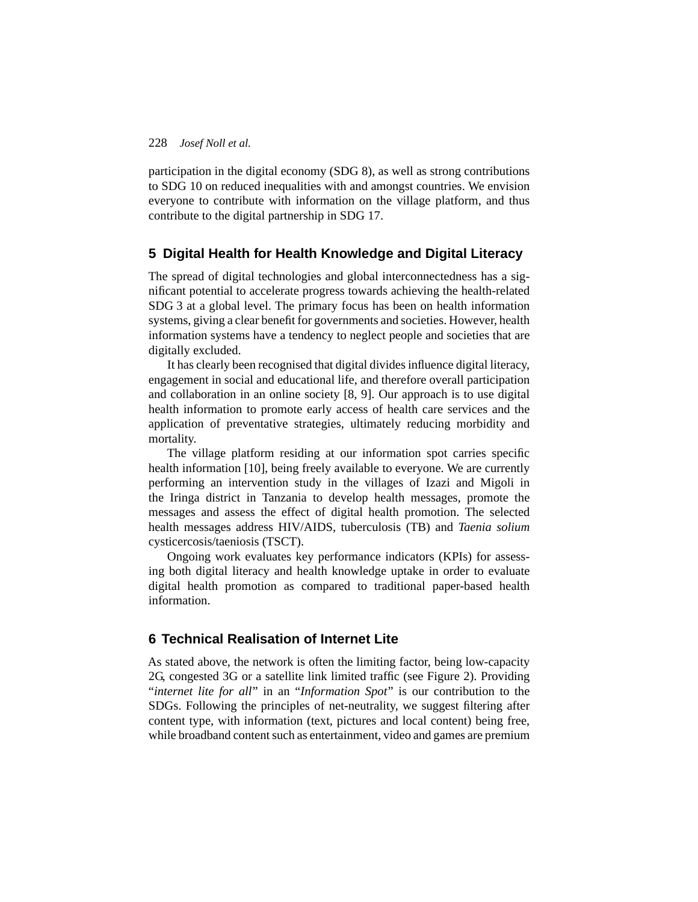participation in the digital economy (SDG 8), as well as strong contributions to SDG 10 on reduced inequalities with and amongst countries. We envision everyone to contribute with information on the village platform, and thus contribute to the digital partnership in SDG 17.

# **5 Digital Health for Health Knowledge and Digital Literacy**

The spread of digital technologies and global interconnectedness has a significant potential to accelerate progress towards achieving the health-related SDG 3 at a global level. The primary focus has been on health information systems, giving a clear benefit for governments and societies. However, health information systems have a tendency to neglect people and societies that are digitally excluded.

It has clearly been recognised that digital divides influence digital literacy, engagement in social and educational life, and therefore overall participation and collaboration in an online society [8, 9]. Our approach is to use digital health information to promote early access of health care services and the application of preventative strategies, ultimately reducing morbidity and mortality.

The village platform residing at our information spot carries specific health information [10], being freely available to everyone. We are currently performing an intervention study in the villages of Izazi and Migoli in the Iringa district in Tanzania to develop health messages, promote the messages and assess the effect of digital health promotion. The selected health messages address HIV/AIDS, tuberculosis (TB) and *Taenia solium* cysticercosis/taeniosis (TSCT).

Ongoing work evaluates key performance indicators (KPIs) for assessing both digital literacy and health knowledge uptake in order to evaluate digital health promotion as compared to traditional paper-based health information.

# **6 Technical Realisation of Internet Lite**

As stated above, the network is often the limiting factor, being low-capacity 2G, congested 3G or a satellite link limited traffic (see Figure 2). Providing "*internet lite for all*" in an "*Information Spot*" is our contribution to the SDGs. Following the principles of net-neutrality, we suggest filtering after content type, with information (text, pictures and local content) being free, while broadband content such as entertainment, video and games are premium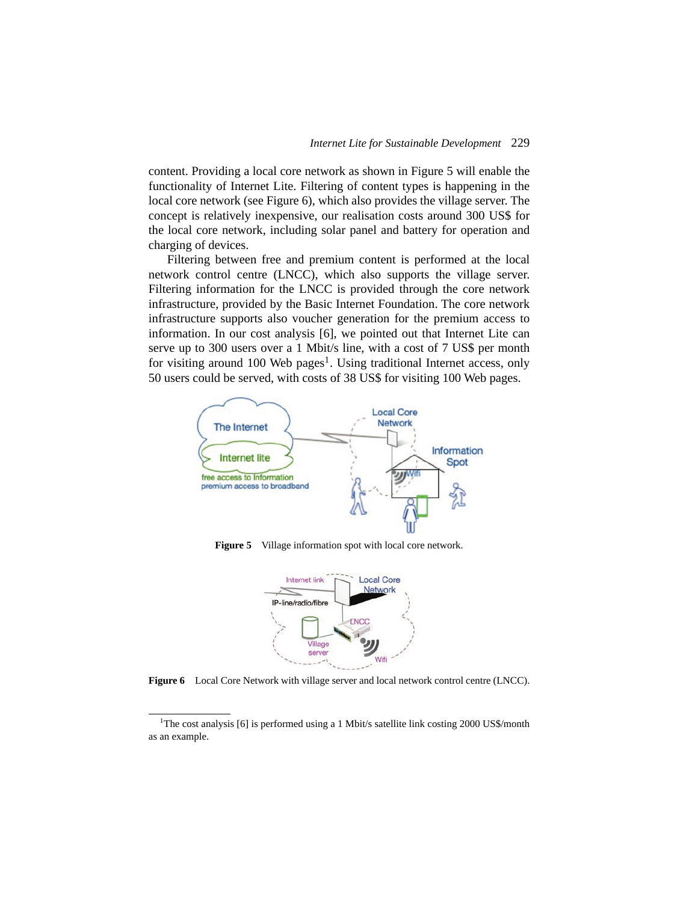content. Providing a local core network as shown in Figure 5 will enable the functionality of Internet Lite. Filtering of content types is happening in the local core network (see Figure 6), which also provides the village server. The concept is relatively inexpensive, our realisation costs around 300 US\$ for the local core network, including solar panel and battery for operation and charging of devices.

Filtering between free and premium content is performed at the local network control centre (LNCC), which also supports the village server. Filtering information for the LNCC is provided through the core network infrastructure, provided by the Basic Internet Foundation. The core network infrastructure supports also voucher generation for the premium access to information. In our cost analysis [6], we pointed out that Internet Lite can serve up to 300 users over a 1 Mbit/s line, with a cost of 7 US\$ per month for visiting around 100 Web pages<sup>1</sup>. Using traditional Internet access, only 50 users could be served, with costs of 38 US\$ for visiting 100 Web pages.



**Figure 5** Village information spot with local core network.



**Figure 6** Local Core Network with village server and local network control centre (LNCC).

<sup>&</sup>lt;sup>1</sup>The cost analysis [6] is performed using a 1 Mbit/s satellite link costing 2000 US\$/month as an example.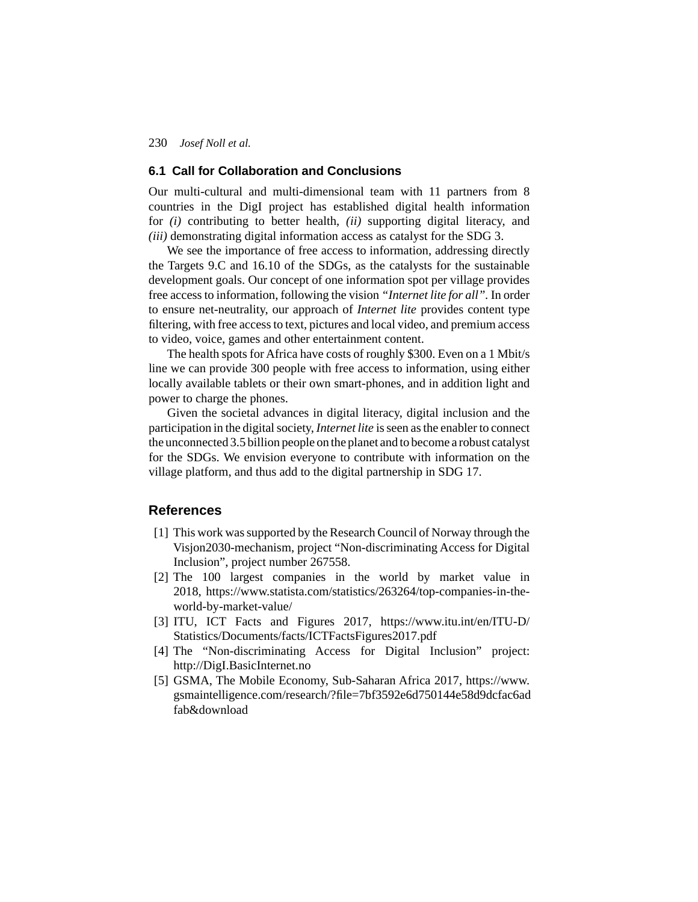### **6.1 Call for Collaboration and Conclusions**

Our multi-cultural and multi-dimensional team with 11 partners from 8 countries in the DigI project has established digital health information for *(i)* contributing to better health, *(ii)* supporting digital literacy, and *(iii)* demonstrating digital information access as catalyst for the SDG 3.

We see the importance of free access to information, addressing directly the Targets 9.C and 16.10 of the SDGs, as the catalysts for the sustainable development goals. Our concept of one information spot per village provides free access to information, following the vision *"Internet lite for all".* In order to ensure net-neutrality, our approach of *Internet lite* provides content type filtering, with free access to text, pictures and local video, and premium access to video, voice, games and other entertainment content.

The health spots for Africa have costs of roughly \$300. Even on a 1 Mbit/s line we can provide 300 people with free access to information, using either locally available tablets or their own smart-phones, and in addition light and power to charge the phones.

Given the societal advances in digital literacy, digital inclusion and the participation in the digital society, *Internet lite* is seen as the enabler to connect the unconnected 3.5 billion people on the planet and to become a robust catalyst for the SDGs. We envision everyone to contribute with information on the village platform, and thus add to the digital partnership in SDG 17.

## **References**

- [1] This work was supported by the Research Council of Norway through the Visjon2030-mechanism, project "Non-discriminating Access for Digital Inclusion", project number 267558.
- [2] The 100 largest companies in the world by market value in 2018, https://www.statista.com/statistics/263264/top-companies-in-theworld-by-market-value/
- [3] ITU, ICT Facts and Figures 2017, https://www.itu.int/en/ITU-D/ Statistics/Documents/facts/ICTFactsFigures2017.pdf
- [4] The "Non-discriminating Access for Digital Inclusion" project: http://DigI.BasicInternet.no
- [5] GSMA, The Mobile Economy, Sub-Saharan Africa 2017, https://www. gsmaintelligence.com/research/?file=7bf3592e6d750144e58d9dcfac6ad fab&download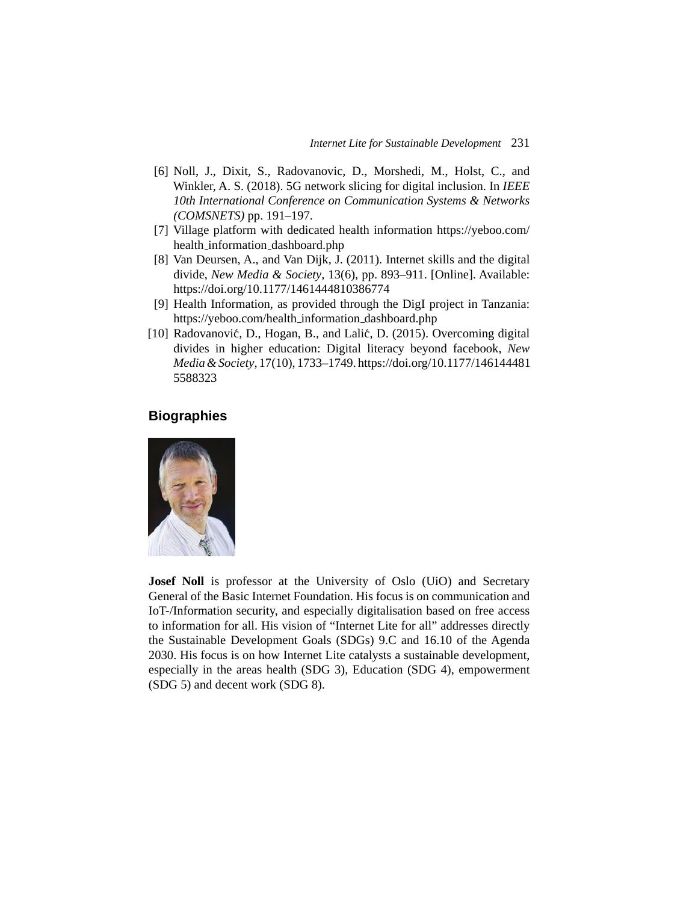- [6] Noll, J., Dixit, S., Radovanovic, D., Morshedi, M., Holst, C., and Winkler, A. S. (2018). 5G network slicing for digital inclusion. In *IEEE 10th International Conference on Communication Systems & Networks (COMSNETS)* pp. 191–197.
- [7] Village platform with dedicated health information https://yeboo.com/ health information dashboard.php
- [8] Van Deursen, A., and Van Dijk, J. (2011). Internet skills and the digital divide, *New Media & Society*, 13(6), pp. 893–911. [Online]. Available: https://doi.org/10.1177/1461444810386774
- [9] Health Information, as provided through the DigI project in Tanzania: https://yeboo.com/health information dashboard.php
- [10] Radovanović, D., Hogan, B., and Lalić, D. (2015). Overcoming digital divides in higher education: Digital literacy beyond facebook, *New Media & Society*, 17(10), 1733–1749. https://doi.org/10.1177/146144481 5588323

# **Biographies**



**Josef Noll** is professor at the University of Oslo (UiO) and Secretary General of the Basic Internet Foundation. His focus is on communication and IoT-/Information security, and especially digitalisation based on free access to information for all. His vision of "Internet Lite for all" addresses directly the Sustainable Development Goals (SDGs) 9.C and 16.10 of the Agenda 2030. His focus is on how Internet Lite catalysts a sustainable development, especially in the areas health (SDG 3), Education (SDG 4), empowerment (SDG 5) and decent work (SDG 8).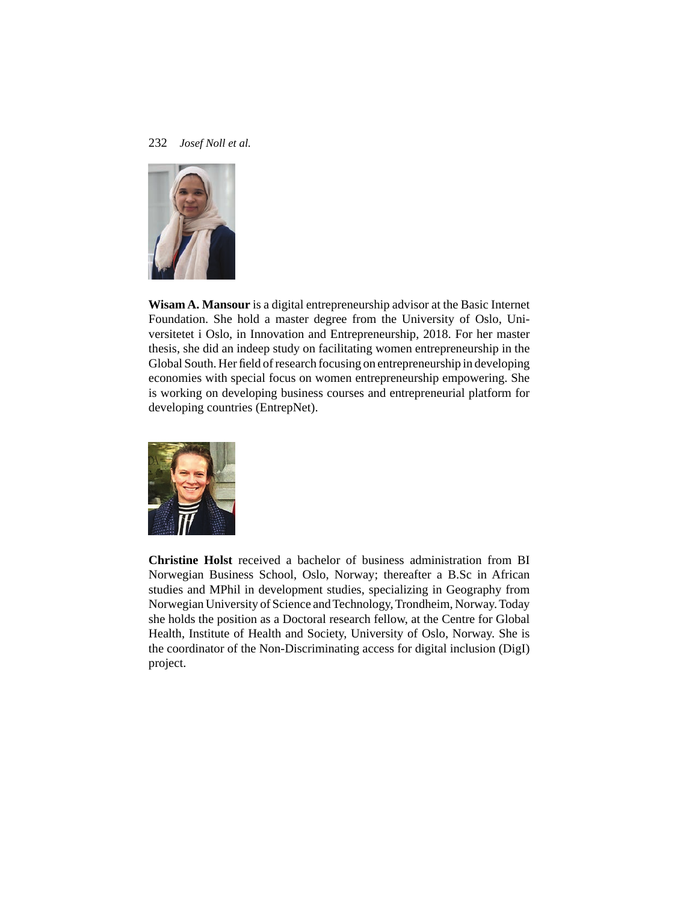

**Wisam A. Mansour** is a digital entrepreneurship advisor at the Basic Internet Foundation. She hold a master degree from the University of Oslo, Universitetet i Oslo, in Innovation and Entrepreneurship, 2018. For her master thesis, she did an indeep study on facilitating women entrepreneurship in the Global South. Her field of research focusing on entrepreneurship in developing economies with special focus on women entrepreneurship empowering. She is working on developing business courses and entrepreneurial platform for developing countries (EntrepNet).



**Christine Holst** received a bachelor of business administration from BI Norwegian Business School, Oslo, Norway; thereafter a B.Sc in African studies and MPhil in development studies, specializing in Geography from Norwegian University of Science and Technology, Trondheim, Norway. Today she holds the position as a Doctoral research fellow, at the Centre for Global Health, Institute of Health and Society, University of Oslo, Norway. She is the coordinator of the Non-Discriminating access for digital inclusion (DigI) project.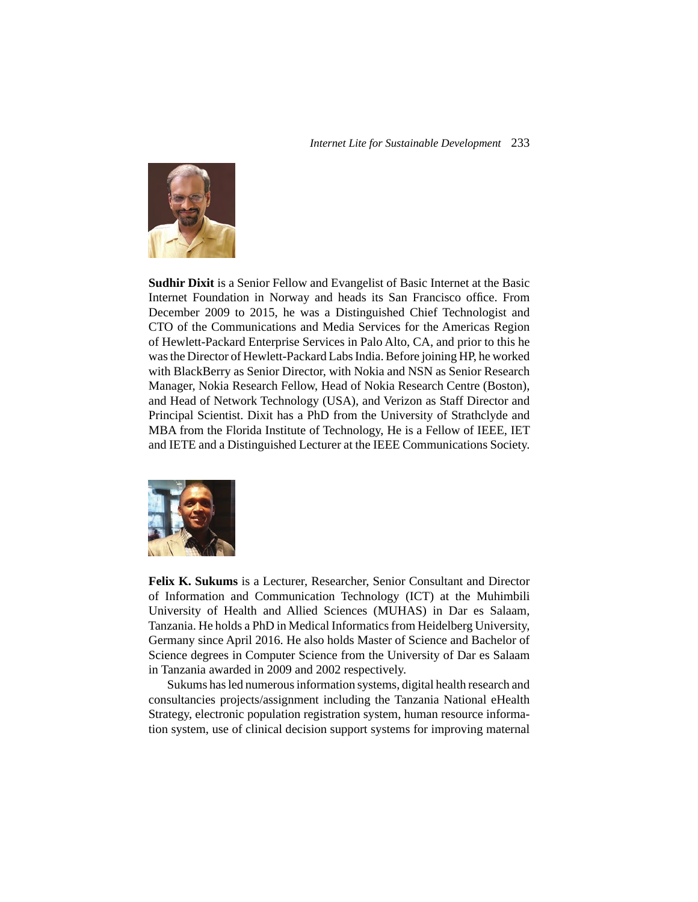

**Sudhir Dixit** is a Senior Fellow and Evangelist of Basic Internet at the Basic Internet Foundation in Norway and heads its San Francisco office. From December 2009 to 2015, he was a Distinguished Chief Technologist and CTO of the Communications and Media Services for the Americas Region of Hewlett-Packard Enterprise Services in Palo Alto, CA, and prior to this he was the Director of Hewlett-Packard Labs India. Before joining HP, he worked with BlackBerry as Senior Director, with Nokia and NSN as Senior Research Manager, Nokia Research Fellow, Head of Nokia Research Centre (Boston), and Head of Network Technology (USA), and Verizon as Staff Director and Principal Scientist. Dixit has a PhD from the University of Strathclyde and MBA from the Florida Institute of Technology, He is a Fellow of IEEE, IET and IETE and a Distinguished Lecturer at the IEEE Communications Society.



**Felix K. Sukums** is a Lecturer, Researcher, Senior Consultant and Director of Information and Communication Technology (ICT) at the Muhimbili University of Health and Allied Sciences (MUHAS) in Dar es Salaam, Tanzania. He holds a PhD in Medical Informatics from Heidelberg University, Germany since April 2016. He also holds Master of Science and Bachelor of Science degrees in Computer Science from the University of Dar es Salaam in Tanzania awarded in 2009 and 2002 respectively.

Sukums has led numerous information systems, digital health research and consultancies projects/assignment including the Tanzania National eHealth Strategy, electronic population registration system, human resource information system, use of clinical decision support systems for improving maternal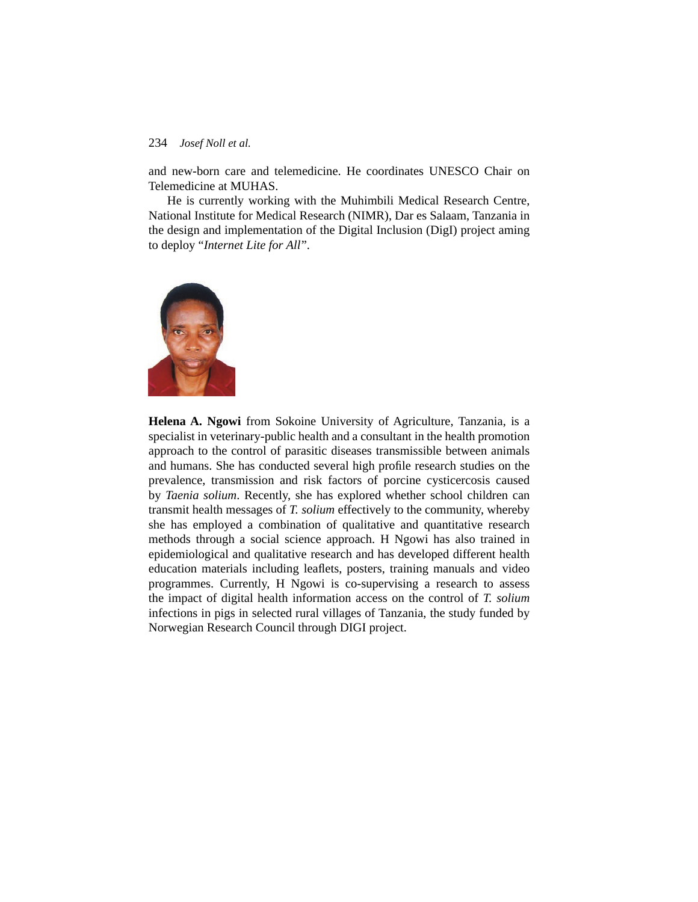and new-born care and telemedicine. He coordinates UNESCO Chair on Telemedicine at MUHAS.

He is currently working with the Muhimbili Medical Research Centre, National Institute for Medical Research (NIMR), Dar es Salaam, Tanzania in the design and implementation of the Digital Inclusion (DigI) project aming to deploy "*Internet Lite for All*".



**Helena A. Ngowi** from Sokoine University of Agriculture, Tanzania, is a specialist in veterinary-public health and a consultant in the health promotion approach to the control of parasitic diseases transmissible between animals and humans. She has conducted several high profile research studies on the prevalence, transmission and risk factors of porcine cysticercosis caused by *Taenia solium*. Recently, she has explored whether school children can transmit health messages of *T. solium* effectively to the community, whereby she has employed a combination of qualitative and quantitative research methods through a social science approach. H Ngowi has also trained in epidemiological and qualitative research and has developed different health education materials including leaflets, posters, training manuals and video programmes. Currently, H Ngowi is co-supervising a research to assess the impact of digital health information access on the control of *T. solium* infections in pigs in selected rural villages of Tanzania, the study funded by Norwegian Research Council through DIGI project.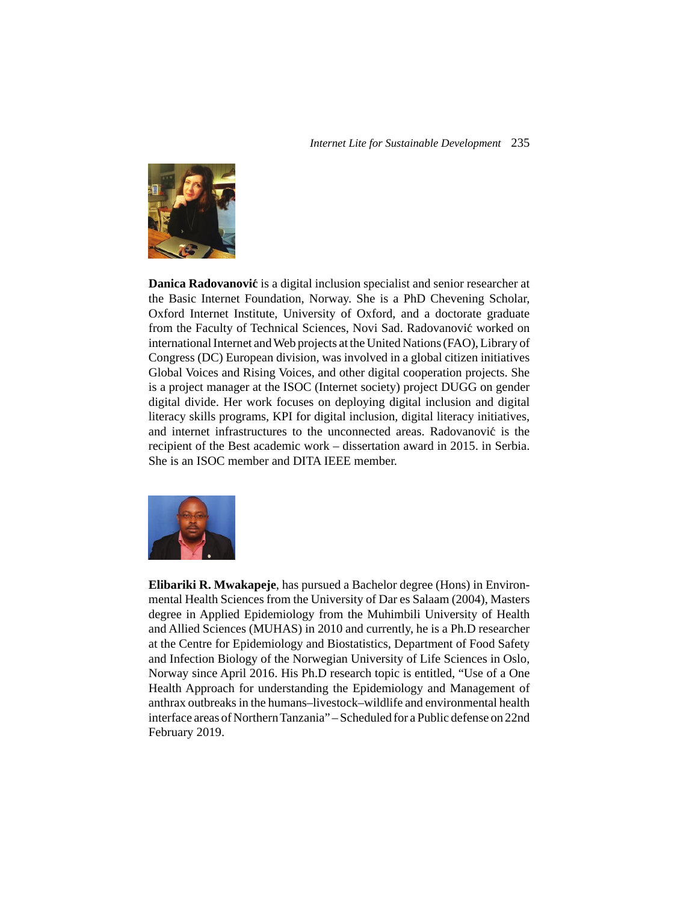

**Danica Radovanović** is a digital inclusion specialist and senior researcher at the Basic Internet Foundation, Norway. She is a PhD Chevening Scholar, Oxford Internet Institute, University of Oxford, and a doctorate graduate from the Faculty of Technical Sciences, Novi Sad. Radovanovic worked on ´ international Internet and Web projects at the United Nations (FAO), Library of Congress (DC) European division, was involved in a global citizen initiatives Global Voices and Rising Voices, and other digital cooperation projects. She is a project manager at the ISOC (Internet society) project DUGG on gender digital divide. Her work focuses on deploying digital inclusion and digital literacy skills programs, KPI for digital inclusion, digital literacy initiatives, and internet infrastructures to the unconnected areas. Radovanović is the recipient of the Best academic work – dissertation award in 2015. in Serbia. She is an ISOC member and DITA IEEE member.



**Elibariki R. Mwakapeje**, has pursued a Bachelor degree (Hons) in Environmental Health Sciences from the University of Dar es Salaam (2004), Masters degree in Applied Epidemiology from the Muhimbili University of Health and Allied Sciences (MUHAS) in 2010 and currently, he is a Ph.D researcher at the Centre for Epidemiology and Biostatistics, Department of Food Safety and Infection Biology of the Norwegian University of Life Sciences in Oslo, Norway since April 2016. His Ph.D research topic is entitled, "Use of a One Health Approach for understanding the Epidemiology and Management of anthrax outbreaks in the humans–livestock–wildlife and environmental health interface areas of Northern Tanzania" – Scheduled for a Public defense on 22nd February 2019.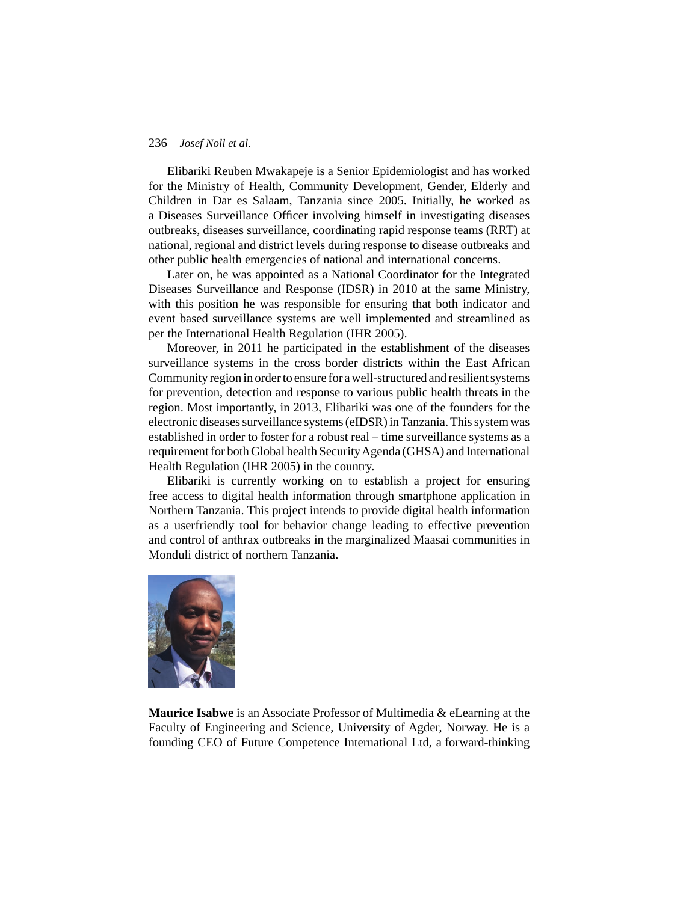Elibariki Reuben Mwakapeje is a Senior Epidemiologist and has worked for the Ministry of Health, Community Development, Gender, Elderly and Children in Dar es Salaam, Tanzania since 2005. Initially, he worked as a Diseases Surveillance Officer involving himself in investigating diseases outbreaks, diseases surveillance, coordinating rapid response teams (RRT) at national, regional and district levels during response to disease outbreaks and other public health emergencies of national and international concerns.

Later on, he was appointed as a National Coordinator for the Integrated Diseases Surveillance and Response (IDSR) in 2010 at the same Ministry, with this position he was responsible for ensuring that both indicator and event based surveillance systems are well implemented and streamlined as per the International Health Regulation (IHR 2005).

Moreover, in 2011 he participated in the establishment of the diseases surveillance systems in the cross border districts within the East African Community region in order to ensure for a well-structured and resilient systems for prevention, detection and response to various public health threats in the region. Most importantly, in 2013, Elibariki was one of the founders for the electronic diseases surveillance systems (eIDSR) in Tanzania. This system was established in order to foster for a robust real – time surveillance systems as a requirement for both Global health Security Agenda (GHSA) and International Health Regulation (IHR 2005) in the country.

Elibariki is currently working on to establish a project for ensuring free access to digital health information through smartphone application in Northern Tanzania. This project intends to provide digital health information as a userfriendly tool for behavior change leading to effective prevention and control of anthrax outbreaks in the marginalized Maasai communities in Monduli district of northern Tanzania.



**Maurice Isabwe** is an Associate Professor of Multimedia & eLearning at the Faculty of Engineering and Science, University of Agder, Norway. He is a founding CEO of Future Competence International Ltd, a forward-thinking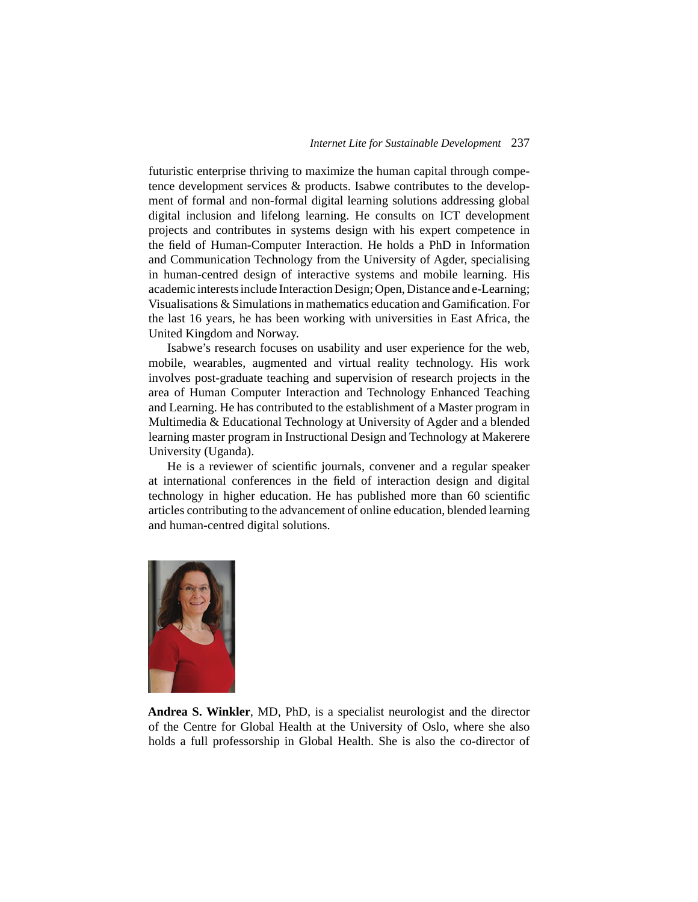futuristic enterprise thriving to maximize the human capital through competence development services & products. Isabwe contributes to the development of formal and non-formal digital learning solutions addressing global digital inclusion and lifelong learning. He consults on ICT development projects and contributes in systems design with his expert competence in the field of Human-Computer Interaction. He holds a PhD in Information and Communication Technology from the University of Agder, specialising in human-centred design of interactive systems and mobile learning. His academic interests include Interaction Design; Open, Distance and e-Learning; Visualisations & Simulations in mathematics education and Gamification. For the last 16 years, he has been working with universities in East Africa, the United Kingdom and Norway.

Isabwe's research focuses on usability and user experience for the web, mobile, wearables, augmented and virtual reality technology. His work involves post-graduate teaching and supervision of research projects in the area of Human Computer Interaction and Technology Enhanced Teaching and Learning. He has contributed to the establishment of a Master program in Multimedia & Educational Technology at University of Agder and a blended learning master program in Instructional Design and Technology at Makerere University (Uganda).

He is a reviewer of scientific journals, convener and a regular speaker at international conferences in the field of interaction design and digital technology in higher education. He has published more than 60 scientific articles contributing to the advancement of online education, blended learning and human-centred digital solutions.



**Andrea S. Winkler**, MD, PhD, is a specialist neurologist and the director of the Centre for Global Health at the University of Oslo, where she also holds a full professorship in Global Health. She is also the co-director of